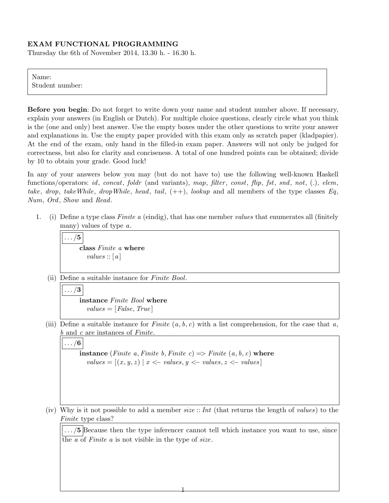## EXAM FUNCTIONAL PROGRAMMING

Thursday the 6th of November 2014, 13.30 h. - 16.30 h.

Name: Student number:

Before you begin: Do not forget to write down your name and student number above. If necessary, explain your answers (in English or Dutch). For multiple choice questions, clearly circle what you think is the (one and only) best answer. Use the empty boxes under the other questions to write your answer and explanations in. Use the empty paper provided with this exam only as scratch paper (kladpapier). At the end of the exam, only hand in the filled-in exam paper. Answers will not only be judged for correctness, but also for clarity and conciseness. A total of one hundred points can be obtained; divide by 10 to obtain your grade. Good luck!

In any of your answers below you may (but do not have to) use the following well-known Haskell functions/operators: id, concat, foldr (and variants), map, filter, const, flip, fst, snd, not, (.), elem, take, drop, takeWhile, dropWhile, head, tail,  $(++)$ , lookup and all members of the type classes Eq, Num, Ord, Show and Read.

1. (i) Define a type class Finite a (eindig), that has one member values that enumerates all (finitely many) values of type a.

 $\ldots/5$ class Finite a where  $values::[a]$ 

(ii) Define a suitable instance for Finite Bool.

$$
\sqrt{|\dots/3|}
$$

instance Finite Bool where  $values = [False, True]$ 

(iii) Define a suitable instance for Finite  $(a, b, c)$  with a list comprehension, for the case that a, b and c are instances of Finite.

 $\ldots/6$ 

**instance** (Finite a, Finite b, Finite c)  $\Rightarrow$  Finite (a, b, c) where  $values = [(x, y, z) | x \leftarrow values, y \leftarrow values, z \leftarrow values]$ 

(iv) Why is it not possible to add a member  $size::Int$  (that returns the length of values) to the Finite type class?

1

.../5 Because then the type inferencer cannot tell which instance you want to use, since the  $\overline{a}$  of *Finite*  $\overline{a}$  is not visible in the type of *size*.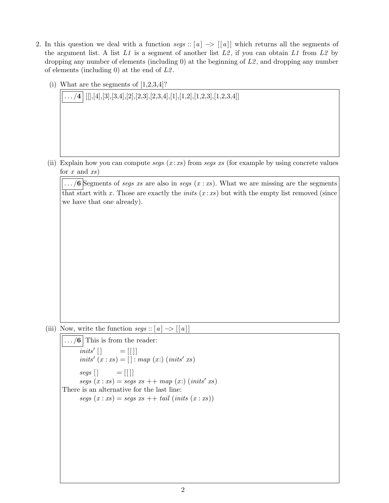- 2. In this question we deal with a function segs :: [a]  $\rightarrow$  [[a]] which returns all the segments of the argument list. A list  $L1$  is a segment of another list  $L2$ , if you can obtain  $L1$  from  $L2$  by dropping any number of elements (including 0) at the beginning of  $L2$ , and dropping any number of elements (including 0) at the end of  $L2$ .
	- (i) What are the segments of  $[1,2,3,4]$ ?

 $\ldots$  /4  $|$  [[], [4], [3], [3, 4], [2], [2, 3], [2, 3, 4], [1], [1, 2], [1, 2, 3], [1, 2, 3, 4]]

(ii) Explain how you can compute segs  $(x : xs)$  from segs xs (for example by using concrete values for  $x$  and  $xs$ )

 $\left| \ldots \right\rangle$  Segments of *segs xs* are also in *segs*  $(x : xs)$ . What we are missing are the segments that start with x. Those are exactly the *inits*  $(x : xs)$  but with the empty list removed (since we have that one already).

(iii) Now, write the function  $segs$ :: [a]  $\rightarrow$  [[a]]

```
\ldots /6 This is from the reader:
       inits'[]
                       = [ | | |inits' (x : xs) = [] : map (x:) (inits' xs)segs \begin{bmatrix} \end{bmatrix} = [\begin{bmatrix} \end{bmatrix}]segs(x:xs) = segs xs ++ map(x:)(inits' xs)There is an alternative for the last line:
       segs(x:xs) = segsxs + tail (inits(x:xs))
```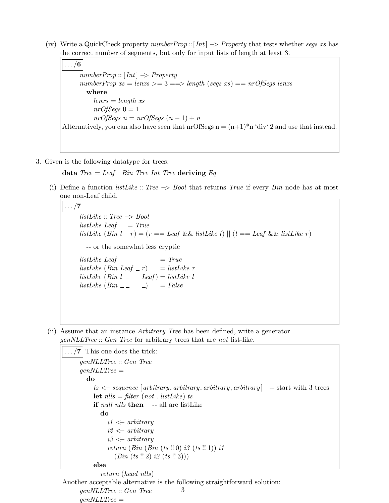(iv) Write a QuickCheck property numberProp ::  $[Int] \rightarrow Property$  that tests whether segs xs has the correct number of segments, but only for input lists of length at least 3.

 $\ldots/6$  $numberProp::[Int] \rightarrow Property$ numberProp  $xs = lens \geq 3 \Longrightarrow length (segs \ xs) == nrOfSegs \ lens$ where  $lens = length xs$  $nrOfSeqs$   $0 = 1$  $nrOfSegs$   $n = nrOfSegs$   $(n - 1) + n$ Alternatively, you can also have seen that  $\text{nrOfSegs} \, n = (n+1)^*n$  'div' 2 and use that instead.

3. Given is the following datatype for trees:

data  $Tree = Leaf | Bin Tree Int Tree$  deriving Eq

(i) Define a function *listLike* :: Tree  $\rightarrow$  Bool that returns True if every Bin node has at most one non-Leaf child.

 $\ldots/7$  $listLike :: Tree \rightarrow Bool$  $listLike$  Leaf = True listLike  $(Bin \, l \, l \, r) = (r == \, \text{Leaf} \, \&\& \, \text{listLike} \, l) \mid (l == \, \text{Leaf} \, \&\& \, \text{listLike} \, r)$ -- or the somewhat less cryptic  $listLike$  Leaf  $= True$ listLike (Bin Leaf  $r = listLike$  r  $listLike (Bin l \_ leaf) = listLike l$  $listLike (Bin \_ \ )$  = False

(ii) Assume that an instance Arbitrary Tree has been defined, write a generator genNLLTree :: Gen Tree for arbitrary trees that are not list-like.

```
\ldots /7 This one does the trick:
     genNLLTree :: Gen Tree
     genNLLTree =do
          ts \leftarrow sequence [arbitrary, arbitrary, arbitrary, arbitrary] -- start with 3 trees
          let nls = filter (not. listLike) ts
          if null nlls then -- all are listLike
            do
               i1 \leq arbitrary
               i2 \leftarrow arbitraryi3 <− arbitrary
               return (Bin (Bin (ts !! 0) i3 (ts !! 1)) i1(Bin (ts !! 2) i2 (ts !! 3))else
```
return (head nlls) Another acceptable alternative is the following straightforward solution: genNLLTree :: Gen Tree  $genNLLTree =$ 3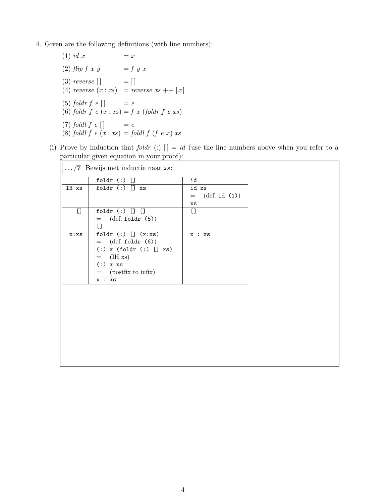- 4. Given are the following definitions (with line numbers):
	- (1) id x  $= x$ (2)  $flip f x y = f y x$ (3) reverse  $[\ ]$  =  $[ ]$ (4) reverse  $(x : xs)$  = reverse  $xs$  ++  $[x]$ (5) foldr  $f e$   $\vert$  =  $e$ (6) foldr  $f \cdot e \cdot (x : xs) = f \cdot x$  (foldr  $f \cdot e \cdot xs$ ) (7) foldl  $f e$   $\vert$  =  $e$ (8) foldl f  $e(x : xs) =$  foldl f  $(f e x) xs$
	- (i) Prove by induction that foldr (:)  $[] = id$  (use the line numbers above when you refer to a particular given equation in your proof):

| Bewijs met inductie naar xs:           |                             |                                |  |
|----------------------------------------|-----------------------------|--------------------------------|--|
|                                        | foldr $(:)$ []              | id                             |  |
| IH xs                                  | foldr $(:)$ [] $xs$         | id xs                          |  |
|                                        |                             | $(\text{def. id } (1))$<br>$=$ |  |
|                                        |                             | XS                             |  |
| $\begin{array}{c} \square \end{array}$ | foldr $(:)$ [] []           | $\Box$                         |  |
|                                        | $=$ (def. foldr (5))        |                                |  |
|                                        | $\mathsf{L}$                |                                |  |
| x:xs                                   | foldr $(:)$ [] $(x:xs)$     | x : xs                         |  |
|                                        | $=$ (def. foldr (6))        |                                |  |
|                                        | $(:)$ x (foldr $(:)$ [] xs) |                                |  |
|                                        | $=$ (IH xs)                 |                                |  |
|                                        | $(:)$ x xs                  |                                |  |
|                                        | $=$ (postfix to infix)      |                                |  |
|                                        | x : xs                      |                                |  |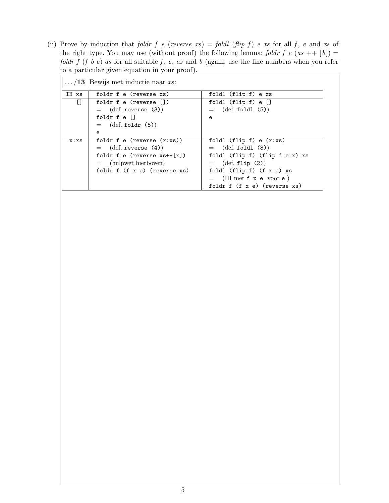(ii) Prove by induction that foldr f e (reverse  $xs$ ) = foldl (flip f) e xs for all f, e and xs of the right type. You may use (without proof) the following lemma: foldr f e (as ++ [b]) = foldr f (f b e) as for all suitable f, e, as and b (again, use the line numbers when you refer to a particular given equation in your proof).

|       | $\ldots$ /13 Bewijs met inductie naar xs:                                                                                                                        |                                                                                                                                                                                                                   |
|-------|------------------------------------------------------------------------------------------------------------------------------------------------------------------|-------------------------------------------------------------------------------------------------------------------------------------------------------------------------------------------------------------------|
| IH xs | foldr f e (reverse xs)                                                                                                                                           | foldl (flip f) e xs                                                                                                                                                                                               |
| IJ    | foldr f e (reverse [])                                                                                                                                           | foldl $(flip f) e []$                                                                                                                                                                                             |
|       | $=$ (def. reverse (3))<br>foldr f e []<br>$=$ (def. foldr (5))                                                                                                   | $=$ (def. foldl (5))<br>e                                                                                                                                                                                         |
|       | e                                                                                                                                                                |                                                                                                                                                                                                                   |
| x:xs  | foldr f e (reverse $(x:xs)$ )<br>$=$ (def. reverse $(4)$ )<br>foldr f e (reverse $xs++[x]$ )<br>$=$ (hulpwet hierboven)<br>foldr $f(f \times e)$ (reverse $xs$ ) | foldl $(flip f) e (x:xs)$<br>$=$ (def. foldl (8))<br>foldl (flip f) (flip f e x) xs<br>$=$ (def. flip (2))<br>foldl $(flip f)$ $(f x e) xs$<br>$=$ (IH met f x e voor e)<br>foldr $f(f \times e)$ (reverse $xs$ ) |